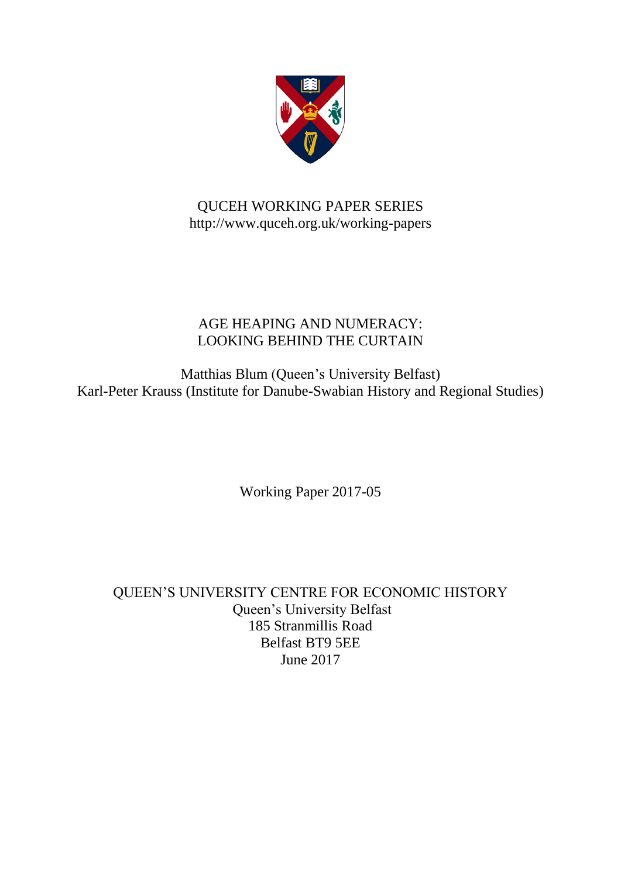

## QUCEH WORKING PAPER SERIES http://www.quceh.org.uk/working-papers

# AGE HEAPING AND NUMERACY: LOOKING BEHIND THE CURTAIN

Matthias Blum (Queen's University Belfast) Karl-Peter Krauss (Institute for Danube-Swabian History and Regional Studies)

Working Paper 2017-05

QUEEN'S UNIVERSITY CENTRE FOR ECONOMIC HISTORY Queen's University Belfast 185 Stranmillis Road Belfast BT9 5EE June 2017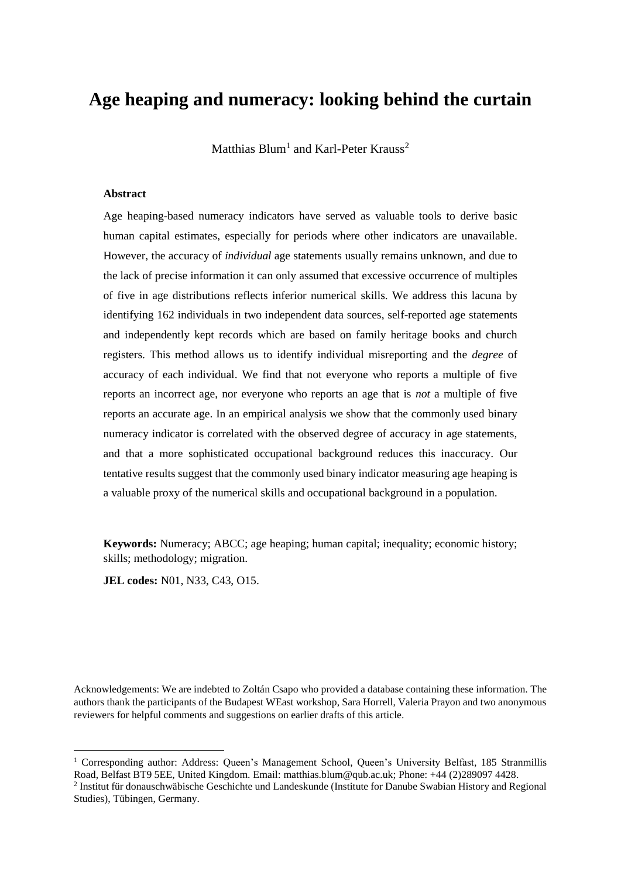# **Age heaping and numeracy: looking behind the curtain**

Matthias  $Blum<sup>1</sup>$  and Karl-Peter Krauss<sup>2</sup>

#### **Abstract**

Age heaping-based numeracy indicators have served as valuable tools to derive basic human capital estimates, especially for periods where other indicators are unavailable. However, the accuracy of *individual* age statements usually remains unknown, and due to the lack of precise information it can only assumed that excessive occurrence of multiples of five in age distributions reflects inferior numerical skills. We address this lacuna by identifying 162 individuals in two independent data sources, self-reported age statements and independently kept records which are based on family heritage books and church registers. This method allows us to identify individual misreporting and the *degree* of accuracy of each individual. We find that not everyone who reports a multiple of five reports an incorrect age, nor everyone who reports an age that is *not* a multiple of five reports an accurate age. In an empirical analysis we show that the commonly used binary numeracy indicator is correlated with the observed degree of accuracy in age statements, and that a more sophisticated occupational background reduces this inaccuracy. Our tentative results suggest that the commonly used binary indicator measuring age heaping is a valuable proxy of the numerical skills and occupational background in a population.

**Keywords:** Numeracy; ABCC; age heaping; human capital; inequality; economic history; skills; methodology; migration.

**JEL codes:** N01, N33, C43, O15.

**.** 

Acknowledgements: We are indebted to Zoltán Csapo who provided a database containing these information. The authors thank the participants of the Budapest WEast workshop, Sara Horrell, Valeria Prayon and two anonymous reviewers for helpful comments and suggestions on earlier drafts of this article.

<sup>&</sup>lt;sup>1</sup> Corresponding author: Address: Queen's Management School, Queen's University Belfast, 185 Stranmillis Road, Belfast BT9 5EE, United Kingdom. Email: matthias.blum@qub.ac.uk; Phone: +44 (2)289097 4428.

<sup>&</sup>lt;sup>2</sup> Institut für donauschwäbische Geschichte und Landeskunde (Institute for Danube Swabian History and Regional Studies), Tübingen, Germany.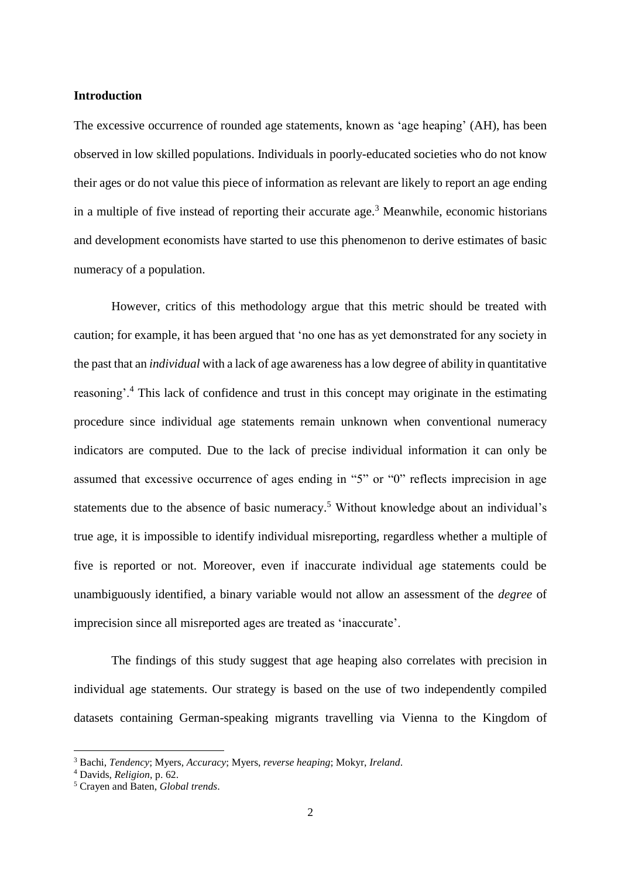#### **Introduction**

The excessive occurrence of rounded age statements, known as 'age heaping' (AH), has been observed in low skilled populations. Individuals in poorly-educated societies who do not know their ages or do not value this piece of information as relevant are likely to report an age ending in a multiple of five instead of reporting their accurate age. <sup>3</sup> Meanwhile, economic historians and development economists have started to use this phenomenon to derive estimates of basic numeracy of a population.

However, critics of this methodology argue that this metric should be treated with caution; for example, it has been argued that 'no one has as yet demonstrated for any society in the past that an *individual* with a lack of age awareness has a low degree of ability in quantitative reasoning'.<sup>4</sup> This lack of confidence and trust in this concept may originate in the estimating procedure since individual age statements remain unknown when conventional numeracy indicators are computed. Due to the lack of precise individual information it can only be assumed that excessive occurrence of ages ending in "5" or "0" reflects imprecision in age statements due to the absence of basic numeracy.<sup>5</sup> Without knowledge about an individual's true age, it is impossible to identify individual misreporting, regardless whether a multiple of five is reported or not. Moreover, even if inaccurate individual age statements could be unambiguously identified, a binary variable would not allow an assessment of the *degree* of imprecision since all misreported ages are treated as 'inaccurate'.

The findings of this study suggest that age heaping also correlates with precision in individual age statements. Our strategy is based on the use of two independently compiled datasets containing German-speaking migrants travelling via Vienna to the Kingdom of

<sup>3</sup> Bachi, *Tendency*; Myers, *Accuracy*; Myers, *reverse heaping*; Mokyr, *Ireland*.

<sup>4</sup> Davids, *Religion*, p. 62.

<sup>5</sup> Crayen and Baten, *Global trends*.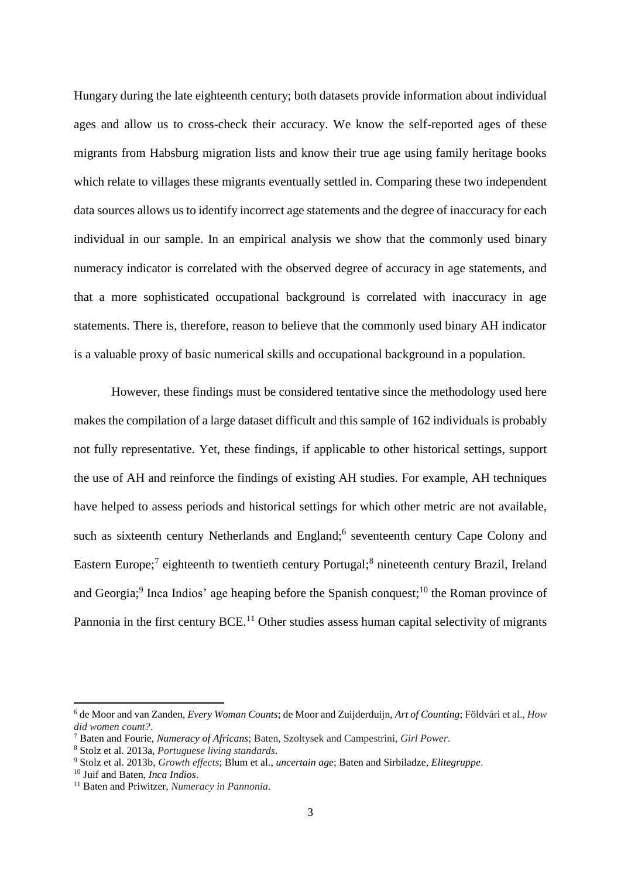Hungary during the late eighteenth century; both datasets provide information about individual ages and allow us to cross-check their accuracy. We know the self-reported ages of these migrants from Habsburg migration lists and know their true age using family heritage books which relate to villages these migrants eventually settled in. Comparing these two independent data sources allows us to identify incorrect age statements and the degree of inaccuracy for each individual in our sample. In an empirical analysis we show that the commonly used binary numeracy indicator is correlated with the observed degree of accuracy in age statements, and that a more sophisticated occupational background is correlated with inaccuracy in age statements. There is, therefore, reason to believe that the commonly used binary AH indicator is a valuable proxy of basic numerical skills and occupational background in a population.

However, these findings must be considered tentative since the methodology used here makes the compilation of a large dataset difficult and this sample of 162 individuals is probably not fully representative. Yet, these findings, if applicable to other historical settings, support the use of AH and reinforce the findings of existing AH studies. For example, AH techniques have helped to assess periods and historical settings for which other metric are not available, such as sixteenth century Netherlands and England;<sup>6</sup> seventeenth century Cape Colony and Eastern Europe;<sup>7</sup> eighteenth to twentieth century Portugal;<sup>8</sup> nineteenth century Brazil, Ireland and Georgia;<sup>9</sup> Inca Indios' age heaping before the Spanish conquest;<sup>10</sup> the Roman province of Pannonia in the first century BCE.<sup>11</sup> Other studies assess human capital selectivity of migrants

<sup>6</sup> de Moor and van Zanden, *Every Woman Counts*; de Moor and Zuijderduijn, *Art of Counting*; Földvári et al., *How did women count?*.

<sup>7</sup> Baten and Fourie, *Numeracy of Africans*; Baten, Szoltysek and Campestrini, *Girl Power*.

<sup>8</sup> Stolz et al. 2013a, *Portuguese living standards*.

<sup>9</sup> Stolz et al. 2013b, *Growth effects*; Blum et al., *uncertain age*; Baten and Sirbiladze, *Elitegruppe*.

<sup>10</sup> Juif and Baten, *Inca Indios*.

<sup>11</sup> Baten and Priwitzer, *Numeracy in Pannonia*.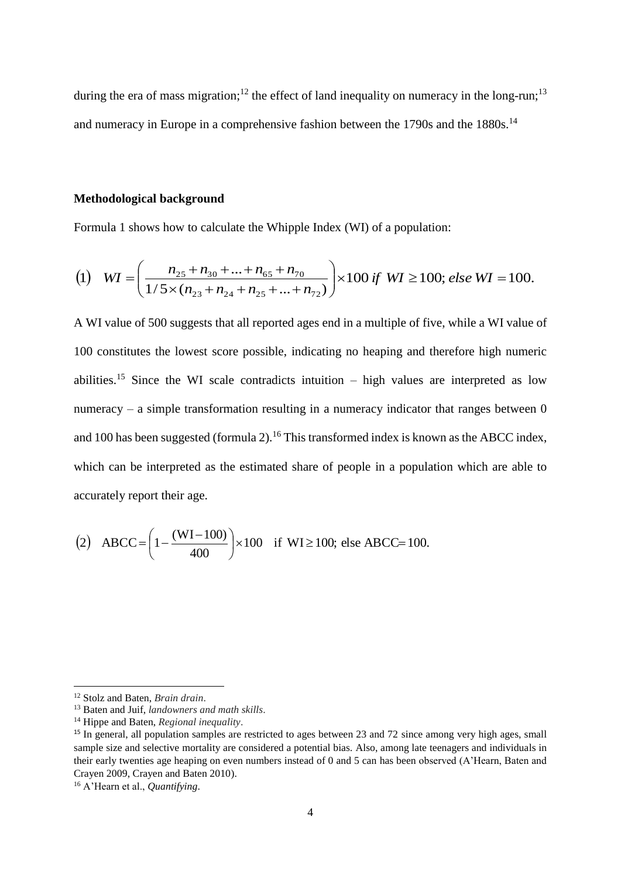during the era of mass migration;<sup>12</sup> the effect of land inequality on numeracy in the long-run;<sup>13</sup> and numeracy in Europe in a comprehensive fashion between the 1790s and the 1880s.<sup>14</sup>

#### **Methodological background**

Formula 1 shows how to calculate the Whipple Index (WI) of a population:

(1) 
$$
WI = \left(\frac{n_{25} + n_{30} + ... + n_{65} + n_{70}}{1/5 \times (n_{23} + n_{24} + n_{25} + ... + n_{72})}\right) \times 100 \text{ if } WI \ge 100; \text{ else } WI = 100.
$$

A WI value of 500 suggests that all reported ages end in a multiple of five, while a WI value of 100 constitutes the lowest score possible, indicating no heaping and therefore high numeric abilities.<sup>15</sup> Since the WI scale contradicts intuition  $-$  high values are interpreted as low numeracy – a simple transformation resulting in a numeracy indicator that ranges between  $0$ and 100 has been suggested (formula 2).<sup>16</sup> This transformed index is known as the ABCC index, which can be interpreted as the estimated share of people in a population which are able to accurately report their age.

(2) ABCC=
$$
\left(1 - \frac{(WI - 100)}{400}\right) \times 100
$$
 if WI  $\ge 100$ ; else ABCC = 100.

 $\overline{a}$ 

<sup>12</sup> Stolz and Baten, *Brain drain*.

<sup>13</sup> Baten and Juif, *landowners and math skills*.

<sup>14</sup> Hippe and Baten, *Regional inequality*.

<sup>&</sup>lt;sup>15</sup> In general, all population samples are restricted to ages between 23 and 72 since among very high ages, small sample size and selective mortality are considered a potential bias. Also, among late teenagers and individuals in their early twenties age heaping on even numbers instead of 0 and 5 can has been observed (A'Hearn, Baten and Crayen 2009, Crayen and Baten 2010).

<sup>16</sup> A'Hearn et al., *Quantifying*.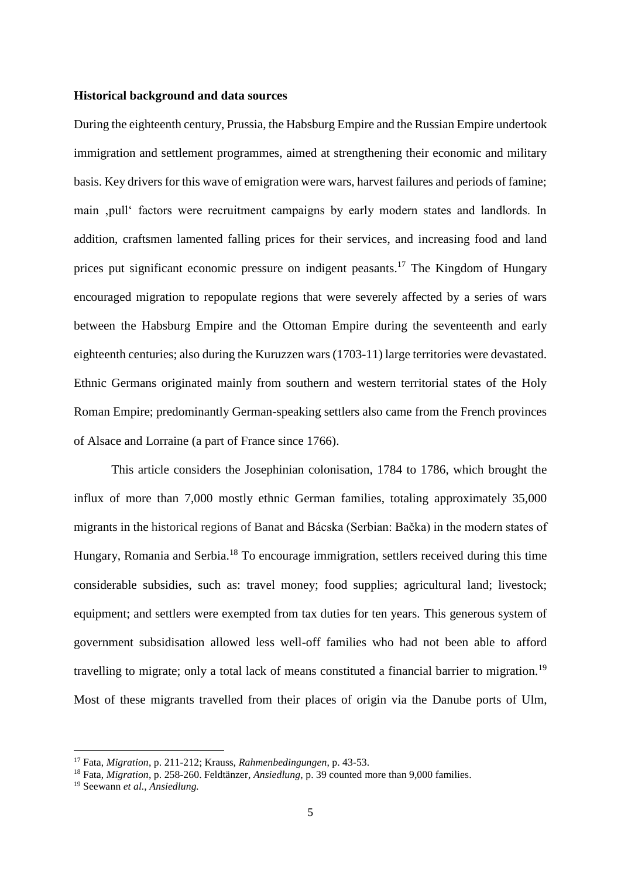#### **Historical background and data sources**

During the eighteenth century, Prussia, the Habsburg Empire and the Russian Empire undertook immigration and settlement programmes, aimed at strengthening their economic and military basis. Key drivers for this wave of emigration were wars, harvest failures and periods of famine; main 'pull' factors were recruitment campaigns by early modern states and landlords. In addition, craftsmen lamented falling prices for their services, and increasing food and land prices put significant economic pressure on indigent peasants.<sup>17</sup> The Kingdom of Hungary encouraged migration to repopulate regions that were severely affected by a series of wars between the Habsburg Empire and the Ottoman Empire during the seventeenth and early eighteenth centuries; also during the Kuruzzen wars (1703-11) large territories were devastated. Ethnic Germans originated mainly from southern and western territorial states of the Holy Roman Empire; predominantly German-speaking settlers also came from the French provinces of Alsace and Lorraine (a part of France since 1766).

This article considers the Josephinian colonisation, 1784 to 1786, which brought the influx of more than 7,000 mostly ethnic German families, totaling approximately 35,000 migrants in the historical regions of Banat and Bácska (Serbian: Bačka) in the modern states of Hungary, Romania and Serbia.<sup>18</sup> To encourage immigration, settlers received during this time considerable subsidies, such as: travel money; food supplies; agricultural land; livestock; equipment; and settlers were exempted from tax duties for ten years. This generous system of government subsidisation allowed less well-off families who had not been able to afford travelling to migrate; only a total lack of means constituted a financial barrier to migration.<sup>19</sup> Most of these migrants travelled from their places of origin via the Danube ports of Ulm,

<sup>17</sup> Fata, *Migration*, p. 211-212; Krauss, *Rahmenbedingungen*, p. 43-53.

<sup>18</sup> Fata, *Migration*, p. 258-260. Feldtänzer, *Ansiedlung*, p. 39 counted more than 9,000 families.

<sup>19</sup> Seewann *et al., Ansiedlung.*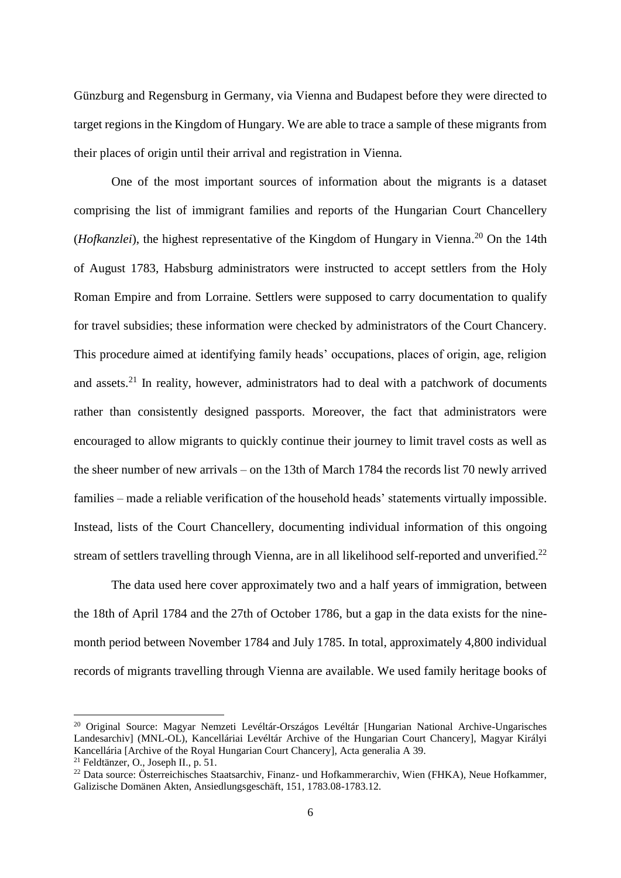Günzburg and Regensburg in Germany, via Vienna and Budapest before they were directed to target regions in the Kingdom of Hungary. We are able to trace a sample of these migrants from their places of origin until their arrival and registration in Vienna.

One of the most important sources of information about the migrants is a dataset comprising the list of immigrant families and reports of the Hungarian Court Chancellery (*Hofkanzlei*), the highest representative of the Kingdom of Hungary in Vienna.<sup>20</sup> On the 14th of August 1783, Habsburg administrators were instructed to accept settlers from the Holy Roman Empire and from Lorraine. Settlers were supposed to carry documentation to qualify for travel subsidies; these information were checked by administrators of the Court Chancery. This procedure aimed at identifying family heads' occupations, places of origin, age, religion and assets.<sup>21</sup> In reality, however, administrators had to deal with a patchwork of documents rather than consistently designed passports. Moreover, the fact that administrators were encouraged to allow migrants to quickly continue their journey to limit travel costs as well as the sheer number of new arrivals – on the 13th of March 1784 the records list 70 newly arrived families – made a reliable verification of the household heads' statements virtually impossible. Instead, lists of the Court Chancellery, documenting individual information of this ongoing stream of settlers travelling through Vienna, are in all likelihood self-reported and unverified.<sup>22</sup>

The data used here cover approximately two and a half years of immigration, between the 18th of April 1784 and the 27th of October 1786, but a gap in the data exists for the ninemonth period between November 1784 and July 1785. In total, approximately 4,800 individual records of migrants travelling through Vienna are available. We used family heritage books of

<sup>&</sup>lt;sup>20</sup> Original Source: Magyar Nemzeti Levéltár-Országos Levéltár [Hungarian National Archive-Ungarisches Landesarchiv] (MNL-OL), Kancelláriai Levéltár Archive of the Hungarian Court Chancery], Magyar Királyi Kancellária [Archive of the Royal Hungarian Court Chancery], Acta generalia A 39.

<sup>21</sup> Feldtänzer, O., Joseph II., p. 51.

<sup>&</sup>lt;sup>22</sup> Data source: Österreichisches Staatsarchiv, Finanz- und Hofkammerarchiv, Wien (FHKA), Neue Hofkammer, Galizische Domänen Akten, Ansiedlungsgeschäft, 151, 1783.08-1783.12.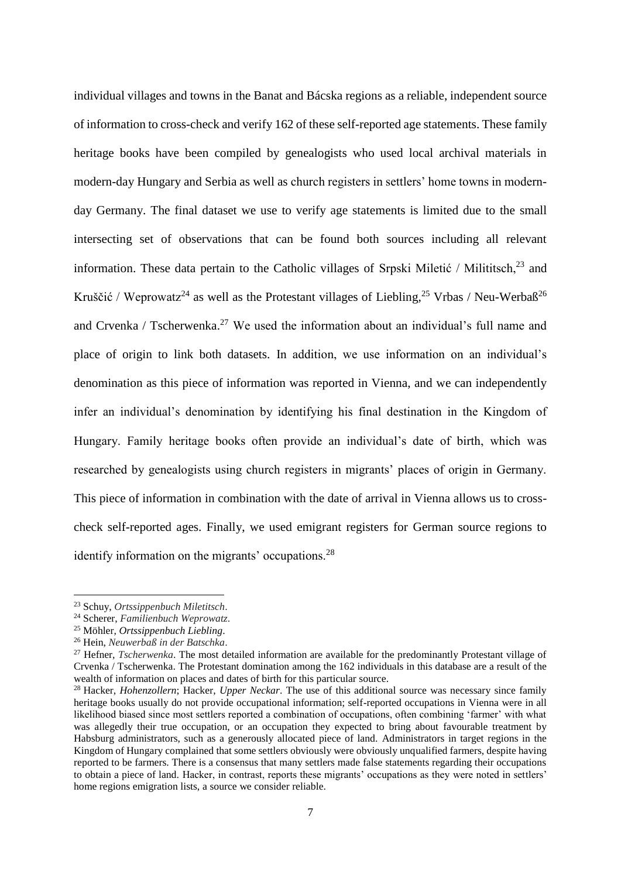individual villages and towns in the Banat and Bácska regions as a reliable, independent source of information to cross-check and verify 162 of these self-reported age statements. These family heritage books have been compiled by genealogists who used local archival materials in modern-day Hungary and Serbia as well as church registers in settlers' home towns in modernday Germany. The final dataset we use to verify age statements is limited due to the small intersecting set of observations that can be found both sources including all relevant information. These data pertain to the Catholic villages of Srpski Miletić / Milititsch, $^{23}$  and Kruščić / Weprowatz<sup>24</sup> as well as the Protestant villages of Liebling,  $25$  Vrbas / Neu-Werbaß<sup>26</sup> and Crvenka / Tscherwenka.<sup>27</sup> We used the information about an individual's full name and place of origin to link both datasets. In addition, we use information on an individual's denomination as this piece of information was reported in Vienna, and we can independently infer an individual's denomination by identifying his final destination in the Kingdom of Hungary. Family heritage books often provide an individual's date of birth, which was researched by genealogists using church registers in migrants' places of origin in Germany. This piece of information in combination with the date of arrival in Vienna allows us to crosscheck self-reported ages. Finally, we used emigrant registers for German source regions to identify information on the migrants' occupations.<sup>28</sup>

<sup>23</sup> Schuy, *Ortssippenbuch Miletitsch*.

<sup>24</sup> Scherer, *Familienbuch Weprowatz*.

<sup>25</sup> Möhler, *Ortssippenbuch Liebling*.

<sup>26</sup> Hein, *Neuwerbaß in der Batschka*.

<sup>27</sup> Hefner, *Tscherwenka*. The most detailed information are available for the predominantly Protestant village of Crvenka / Tscherwenka. The Protestant domination among the 162 individuals in this database are a result of the wealth of information on places and dates of birth for this particular source.

<sup>28</sup> Hacker, *Hohenzollern*; Hacker, *Upper Neckar*. The use of this additional source was necessary since family heritage books usually do not provide occupational information; self-reported occupations in Vienna were in all likelihood biased since most settlers reported a combination of occupations, often combining 'farmer' with what was allegedly their true occupation, or an occupation they expected to bring about favourable treatment by Habsburg administrators, such as a generously allocated piece of land. Administrators in target regions in the Kingdom of Hungary complained that some settlers obviously were obviously unqualified farmers, despite having reported to be farmers. There is a consensus that many settlers made false statements regarding their occupations to obtain a piece of land. Hacker, in contrast, reports these migrants' occupations as they were noted in settlers' home regions emigration lists, a source we consider reliable.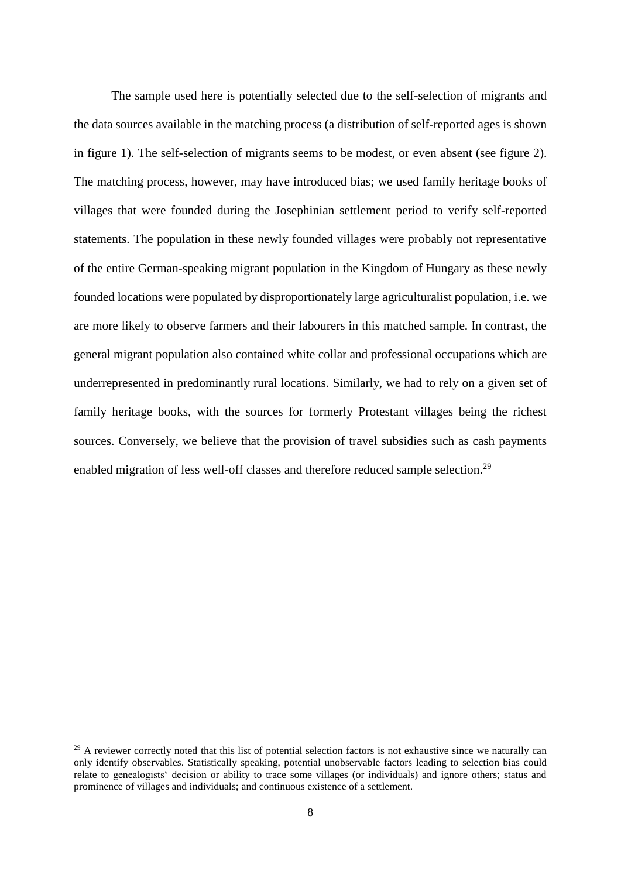The sample used here is potentially selected due to the self-selection of migrants and the data sources available in the matching process (a distribution of self-reported ages is shown in figure 1). The self-selection of migrants seems to be modest, or even absent (see figure 2). The matching process, however, may have introduced bias; we used family heritage books of villages that were founded during the Josephinian settlement period to verify self-reported statements. The population in these newly founded villages were probably not representative of the entire German-speaking migrant population in the Kingdom of Hungary as these newly founded locations were populated by disproportionately large agriculturalist population, i.e. we are more likely to observe farmers and their labourers in this matched sample. In contrast, the general migrant population also contained white collar and professional occupations which are underrepresented in predominantly rural locations. Similarly, we had to rely on a given set of family heritage books, with the sources for formerly Protestant villages being the richest sources. Conversely, we believe that the provision of travel subsidies such as cash payments enabled migration of less well-off classes and therefore reduced sample selection.<sup>29</sup>

 $^{29}$  A reviewer correctly noted that this list of potential selection factors is not exhaustive since we naturally can only identify observables. Statistically speaking, potential unobservable factors leading to selection bias could relate to genealogists' decision or ability to trace some villages (or individuals) and ignore others; status and prominence of villages and individuals; and continuous existence of a settlement.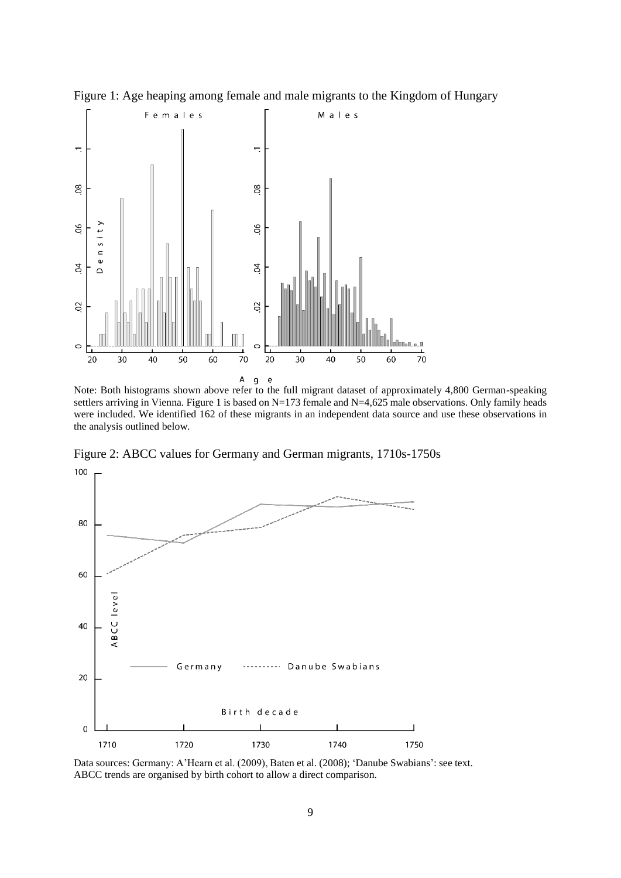

Figure 1: Age heaping among female and male migrants to the Kingdom of Hungary

Note: Both histograms shown above refer to the full migrant dataset of approximately 4,800 German-speaking settlers arriving in Vienna. Figure 1 is based on N=173 female and N=4,625 male observations. Only family heads were included. We identified 162 of these migrants in an independent data source and use these observations in the analysis outlined below.

Figure 2: ABCC values for Germany and German migrants, 1710s-1750s 100



Data sources: Germany: A'Hearn et al. (2009), Baten et al. (2008); 'Danube Swabians': see text. ABCC trends are organised by birth cohort to allow a direct comparison.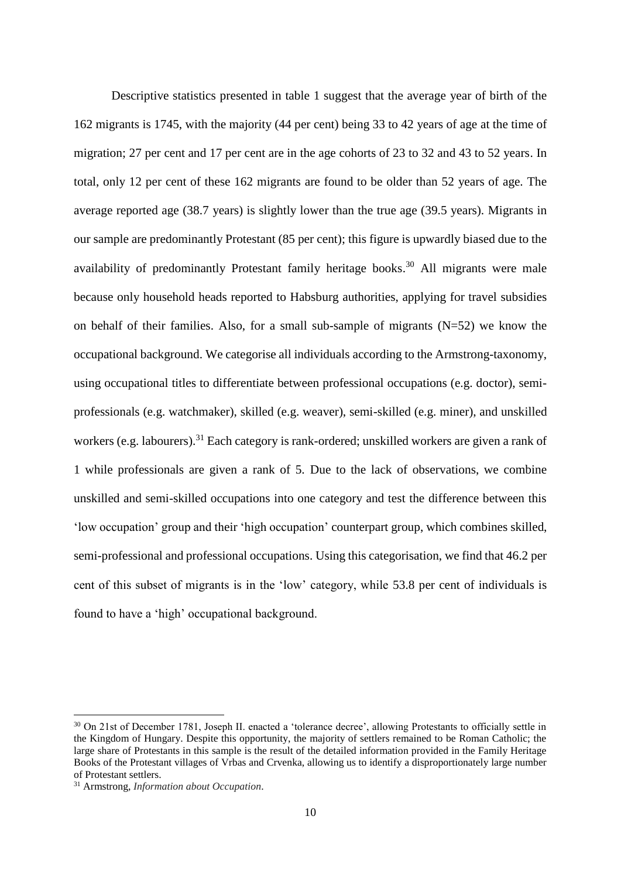Descriptive statistics presented in table 1 suggest that the average year of birth of the 162 migrants is 1745, with the majority (44 per cent) being 33 to 42 years of age at the time of migration; 27 per cent and 17 per cent are in the age cohorts of 23 to 32 and 43 to 52 years. In total, only 12 per cent of these 162 migrants are found to be older than 52 years of age. The average reported age (38.7 years) is slightly lower than the true age (39.5 years). Migrants in our sample are predominantly Protestant (85 per cent); this figure is upwardly biased due to the availability of predominantly Protestant family heritage books.<sup>30</sup> All migrants were male because only household heads reported to Habsburg authorities, applying for travel subsidies on behalf of their families. Also, for a small sub-sample of migrants  $(N=52)$  we know the occupational background. We categorise all individuals according to the Armstrong-taxonomy, using occupational titles to differentiate between professional occupations (e.g. doctor), semiprofessionals (e.g. watchmaker), skilled (e.g. weaver), semi-skilled (e.g. miner), and unskilled workers (e.g. labourers).<sup>31</sup> Each category is rank-ordered; unskilled workers are given a rank of 1 while professionals are given a rank of 5. Due to the lack of observations, we combine unskilled and semi-skilled occupations into one category and test the difference between this 'low occupation' group and their 'high occupation' counterpart group, which combines skilled, semi-professional and professional occupations. Using this categorisation, we find that 46.2 per cent of this subset of migrants is in the 'low' category, while 53.8 per cent of individuals is found to have a 'high' occupational background.

<sup>&</sup>lt;sup>30</sup> On 21st of December 1781, Joseph II. enacted a 'tolerance decree', allowing Protestants to officially settle in the Kingdom of Hungary. Despite this opportunity, the majority of settlers remained to be Roman Catholic; the large share of Protestants in this sample is the result of the detailed information provided in the Family Heritage Books of the Protestant villages of Vrbas and Crvenka, allowing us to identify a disproportionately large number of Protestant settlers.

<sup>31</sup> Armstrong, *Information about Occupation*.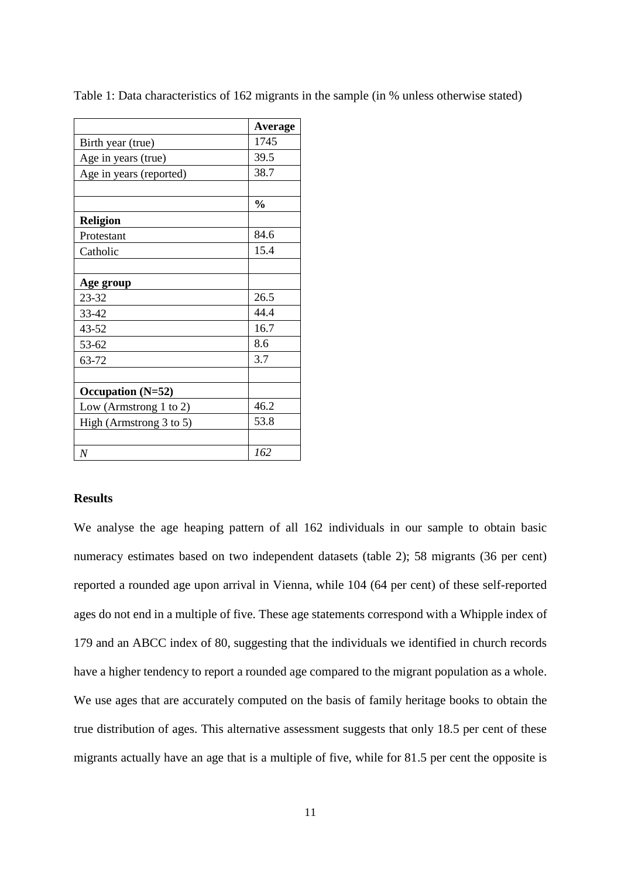|                         | Average       |
|-------------------------|---------------|
| Birth year (true)       | 1745          |
| Age in years (true)     | 39.5          |
| Age in years (reported) | 38.7          |
|                         |               |
|                         | $\frac{0}{0}$ |
| <b>Religion</b>         |               |
| Protestant              | 84.6          |
| Catholic                | 15.4          |
|                         |               |
| Age group               |               |
| 23-32                   | 26.5          |
| 33-42                   | 44.4          |
| 43-52                   | 16.7          |
| 53-62                   | 8.6           |
| 63-72                   | 3.7           |
|                         |               |
| Occupation (N=52)       |               |
| Low (Armstrong 1 to 2)  | 46.2          |
| High (Armstrong 3 to 5) | 53.8          |
|                         |               |
| $\overline{N}$          | 162           |

Table 1: Data characteristics of 162 migrants in the sample (in % unless otherwise stated)

## **Results**

We analyse the age heaping pattern of all 162 individuals in our sample to obtain basic numeracy estimates based on two independent datasets (table 2); 58 migrants (36 per cent) reported a rounded age upon arrival in Vienna, while 104 (64 per cent) of these self-reported ages do not end in a multiple of five. These age statements correspond with a Whipple index of 179 and an ABCC index of 80, suggesting that the individuals we identified in church records have a higher tendency to report a rounded age compared to the migrant population as a whole. We use ages that are accurately computed on the basis of family heritage books to obtain the true distribution of ages. This alternative assessment suggests that only 18.5 per cent of these migrants actually have an age that is a multiple of five, while for 81.5 per cent the opposite is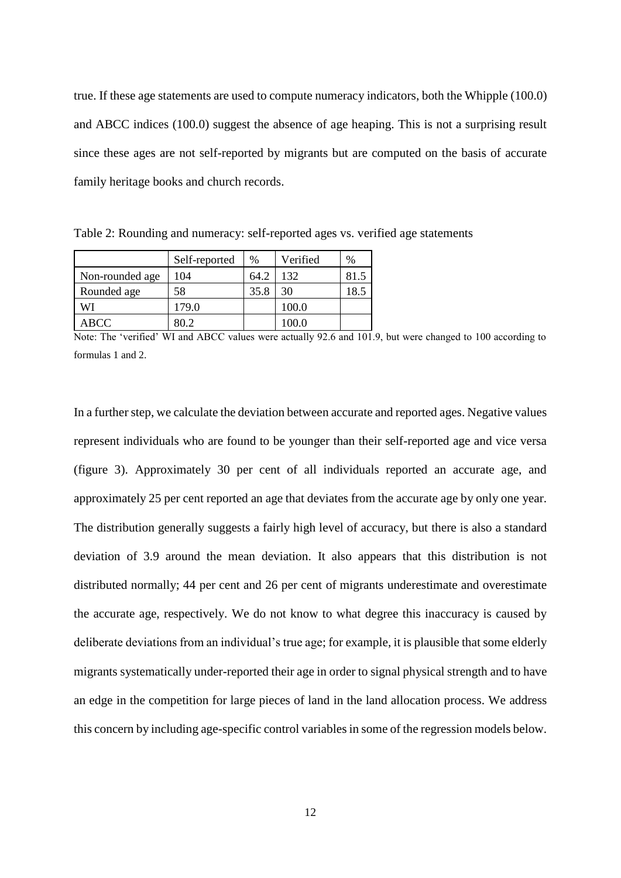true. If these age statements are used to compute numeracy indicators, both the Whipple (100.0) and ABCC indices (100.0) suggest the absence of age heaping. This is not a surprising result since these ages are not self-reported by migrants but are computed on the basis of accurate family heritage books and church records.

Table 2: Rounding and numeracy: self-reported ages vs. verified age statements

|                 | Self-reported | %    | Verified | $\%$ |
|-----------------|---------------|------|----------|------|
| Non-rounded age | 104           | 64.2 | 132      |      |
| Rounded age     | 58            | 35.8 | 30       | 18., |
| WI              | 179.0         |      | 100.0    |      |
| ABCC            | 3O Z          |      | .00.0    |      |

Note: The 'verified' WI and ABCC values were actually 92.6 and 101.9, but were changed to 100 according to formulas 1 and 2.

In a further step, we calculate the deviation between accurate and reported ages. Negative values represent individuals who are found to be younger than their self-reported age and vice versa (figure 3). Approximately 30 per cent of all individuals reported an accurate age, and approximately 25 per cent reported an age that deviates from the accurate age by only one year. The distribution generally suggests a fairly high level of accuracy, but there is also a standard deviation of 3.9 around the mean deviation. It also appears that this distribution is not distributed normally; 44 per cent and 26 per cent of migrants underestimate and overestimate the accurate age, respectively. We do not know to what degree this inaccuracy is caused by deliberate deviations from an individual's true age; for example, it is plausible that some elderly migrants systematically under-reported their age in order to signal physical strength and to have an edge in the competition for large pieces of land in the land allocation process. We address this concern by including age-specific control variables in some of the regression models below.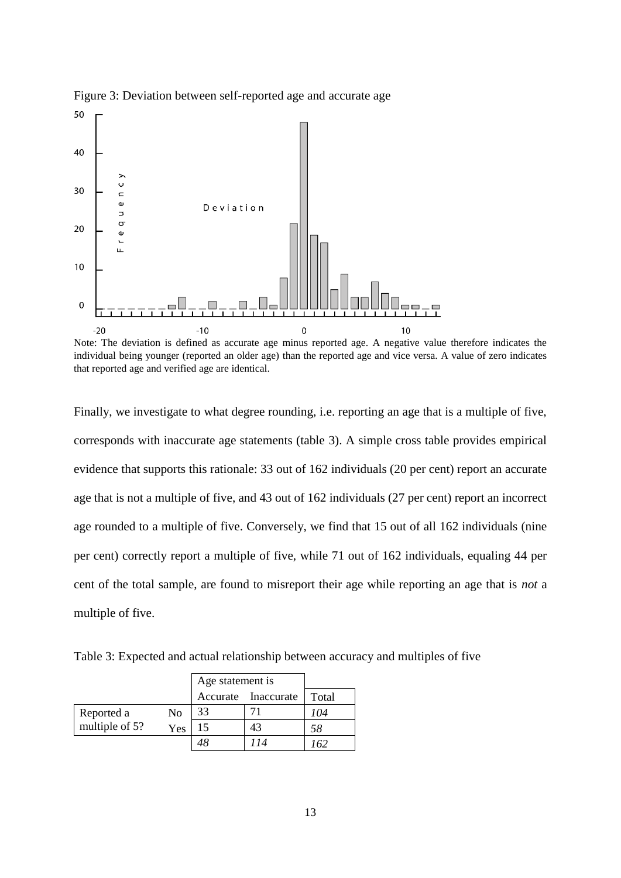

Figure 3: Deviation between self-reported age and accurate age

Note: The deviation is defined as accurate age minus reported age. A negative value therefore indicates the individual being younger (reported an older age) than the reported age and vice versa. A value of zero indicates that reported age and verified age are identical.

Finally, we investigate to what degree rounding, i.e. reporting an age that is a multiple of five, corresponds with inaccurate age statements (table 3). A simple cross table provides empirical evidence that supports this rationale: 33 out of 162 individuals (20 per cent) report an accurate age that is not a multiple of five, and 43 out of 162 individuals (27 per cent) report an incorrect age rounded to a multiple of five. Conversely, we find that 15 out of all 162 individuals (nine per cent) correctly report a multiple of five, while 71 out of 162 individuals, equaling 44 per cent of the total sample, are found to misreport their age while reporting an age that is *not* a multiple of five.

Table 3: Expected and actual relationship between accuracy and multiples of five

|                |     | Age statement is |                     |       |
|----------------|-----|------------------|---------------------|-------|
|                |     |                  | Accurate Inaccurate | Total |
| Reported a     | No  | 33               |                     | 104   |
| multiple of 5? | Yes | 15               | 43                  | 58    |
|                |     |                  | 114                 | 162   |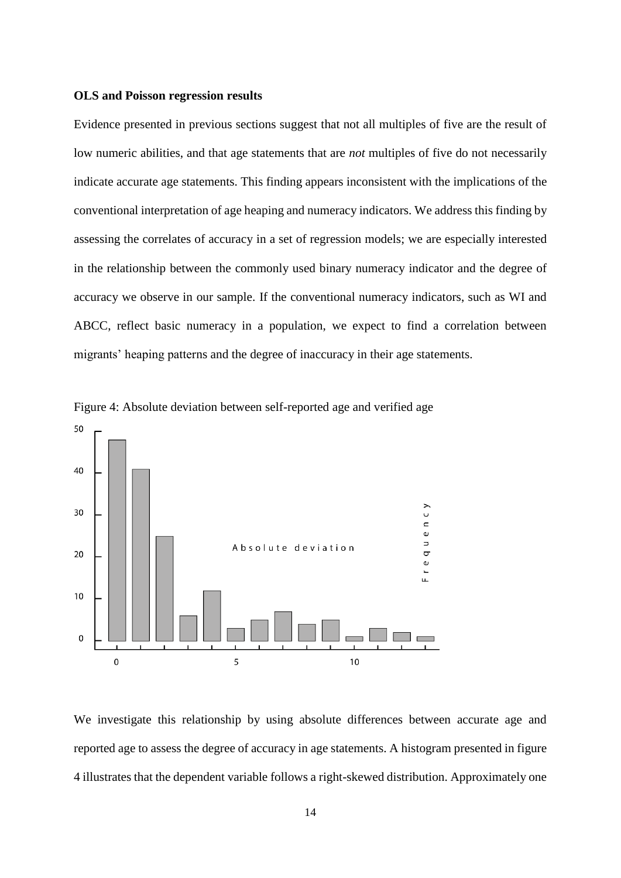#### **OLS and Poisson regression results**

Evidence presented in previous sections suggest that not all multiples of five are the result of low numeric abilities, and that age statements that are *not* multiples of five do not necessarily indicate accurate age statements. This finding appears inconsistent with the implications of the conventional interpretation of age heaping and numeracy indicators. We address this finding by assessing the correlates of accuracy in a set of regression models; we are especially interested in the relationship between the commonly used binary numeracy indicator and the degree of accuracy we observe in our sample. If the conventional numeracy indicators, such as WI and ABCC, reflect basic numeracy in a population, we expect to find a correlation between migrants' heaping patterns and the degree of inaccuracy in their age statements.



Figure 4: Absolute deviation between self-reported age and verified age

We investigate this relationship by using absolute differences between accurate age and reported age to assess the degree of accuracy in age statements. A histogram presented in figure 4 illustrates that the dependent variable follows a right-skewed distribution. Approximately one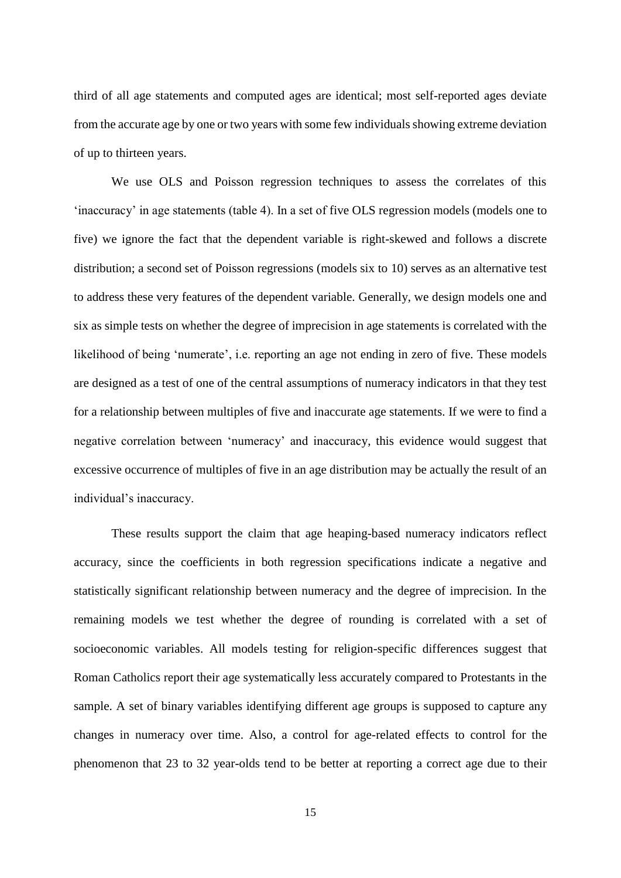third of all age statements and computed ages are identical; most self-reported ages deviate from the accurate age by one or two years with some few individuals showing extreme deviation of up to thirteen years.

We use OLS and Poisson regression techniques to assess the correlates of this 'inaccuracy' in age statements (table 4). In a set of five OLS regression models (models one to five) we ignore the fact that the dependent variable is right-skewed and follows a discrete distribution; a second set of Poisson regressions (models six to 10) serves as an alternative test to address these very features of the dependent variable. Generally, we design models one and six as simple tests on whether the degree of imprecision in age statements is correlated with the likelihood of being 'numerate', i.e. reporting an age not ending in zero of five. These models are designed as a test of one of the central assumptions of numeracy indicators in that they test for a relationship between multiples of five and inaccurate age statements. If we were to find a negative correlation between 'numeracy' and inaccuracy, this evidence would suggest that excessive occurrence of multiples of five in an age distribution may be actually the result of an individual's inaccuracy.

These results support the claim that age heaping-based numeracy indicators reflect accuracy, since the coefficients in both regression specifications indicate a negative and statistically significant relationship between numeracy and the degree of imprecision. In the remaining models we test whether the degree of rounding is correlated with a set of socioeconomic variables. All models testing for religion-specific differences suggest that Roman Catholics report their age systematically less accurately compared to Protestants in the sample. A set of binary variables identifying different age groups is supposed to capture any changes in numeracy over time. Also, a control for age-related effects to control for the phenomenon that 23 to 32 year-olds tend to be better at reporting a correct age due to their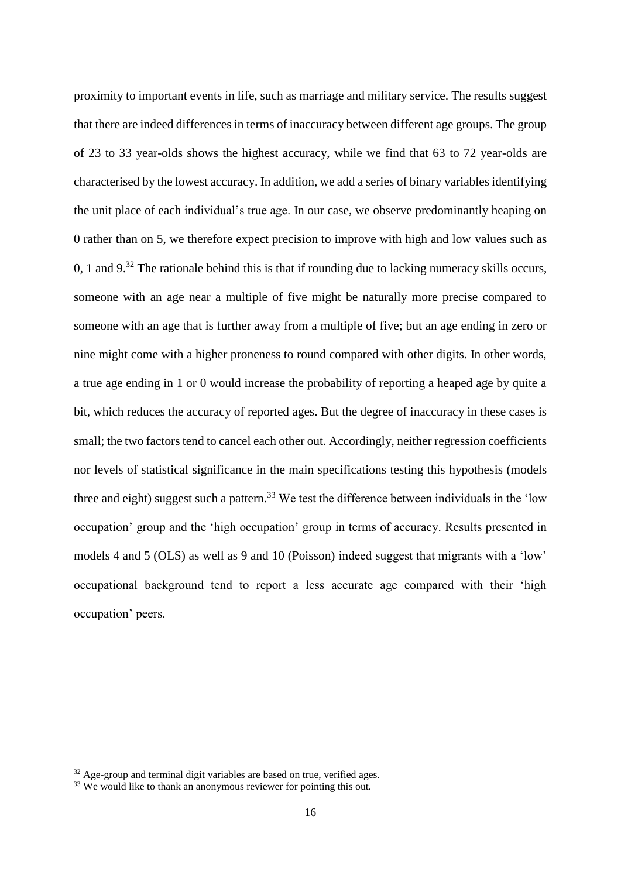proximity to important events in life, such as marriage and military service. The results suggest that there are indeed differences in terms of inaccuracy between different age groups. The group of 23 to 33 year-olds shows the highest accuracy, while we find that 63 to 72 year-olds are characterised by the lowest accuracy. In addition, we add a series of binary variables identifying the unit place of each individual's true age. In our case, we observe predominantly heaping on 0 rather than on 5, we therefore expect precision to improve with high and low values such as 0, 1 and  $9<sup>32</sup>$ . The rationale behind this is that if rounding due to lacking numeracy skills occurs, someone with an age near a multiple of five might be naturally more precise compared to someone with an age that is further away from a multiple of five; but an age ending in zero or nine might come with a higher proneness to round compared with other digits. In other words, a true age ending in 1 or 0 would increase the probability of reporting a heaped age by quite a bit, which reduces the accuracy of reported ages. But the degree of inaccuracy in these cases is small; the two factors tend to cancel each other out. Accordingly, neither regression coefficients nor levels of statistical significance in the main specifications testing this hypothesis (models three and eight) suggest such a pattern.<sup>33</sup> We test the difference between individuals in the 'low occupation' group and the 'high occupation' group in terms of accuracy. Results presented in models 4 and 5 (OLS) as well as 9 and 10 (Poisson) indeed suggest that migrants with a 'low' occupational background tend to report a less accurate age compared with their 'high occupation' peers.

1

<sup>&</sup>lt;sup>32</sup> Age-group and terminal digit variables are based on true, verified ages.

 $33$  We would like to thank an anonymous reviewer for pointing this out.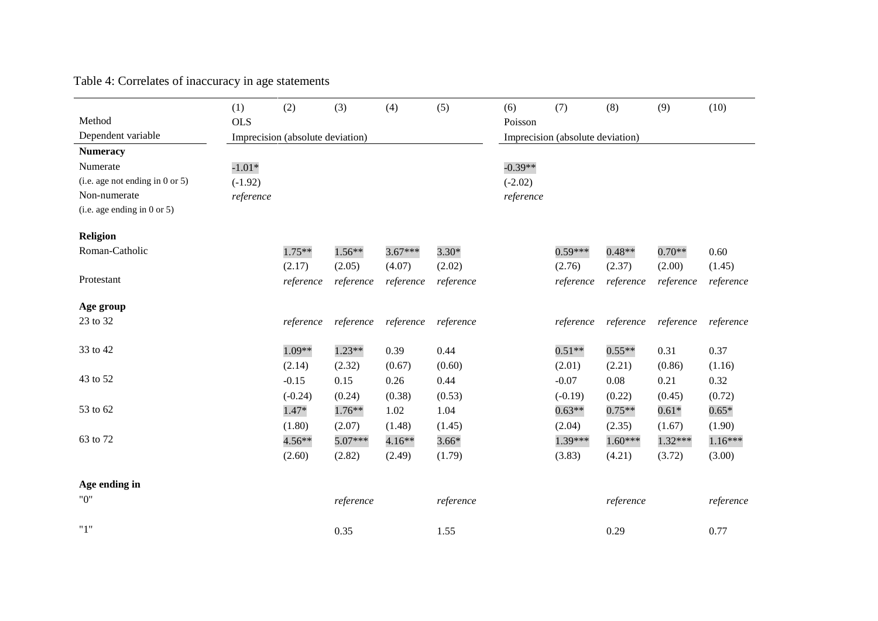|                                      | (1)                              | (2)       | (3)       | (4)       | (5)       | (6)                              | (7)       | (8)       | (9)       | (10)      |  |
|--------------------------------------|----------------------------------|-----------|-----------|-----------|-----------|----------------------------------|-----------|-----------|-----------|-----------|--|
| Method                               | <b>OLS</b>                       |           |           |           |           | Poisson                          |           |           |           |           |  |
| Dependent variable                   | Imprecision (absolute deviation) |           |           |           |           | Imprecision (absolute deviation) |           |           |           |           |  |
| <b>Numeracy</b>                      |                                  |           |           |           |           |                                  |           |           |           |           |  |
| Numerate                             | $-1.01*$                         |           |           |           |           | $-0.39**$                        |           |           |           |           |  |
| (i.e. age not ending in $0$ or $5$ ) | $(-1.92)$                        |           |           |           |           | $(-2.02)$                        |           |           |           |           |  |
| Non-numerate                         | reference                        |           |           |           |           | reference                        |           |           |           |           |  |
| (i.e. age ending in 0 or 5)          |                                  |           |           |           |           |                                  |           |           |           |           |  |
| Religion                             |                                  |           |           |           |           |                                  |           |           |           |           |  |
| Roman-Catholic                       |                                  | $1.75**$  | $1.56**$  | $3.67***$ | $3.30*$   |                                  | $0.59***$ | $0.48**$  | $0.70**$  | 0.60      |  |
|                                      |                                  | (2.17)    | (2.05)    | (4.07)    | (2.02)    |                                  | (2.76)    | (2.37)    | (2.00)    | (1.45)    |  |
| Protestant                           |                                  | reference | reference | reference | reference |                                  | reference | reference | reference | reference |  |
|                                      |                                  |           |           |           |           |                                  |           |           |           |           |  |
| Age group                            |                                  |           |           |           |           |                                  |           |           |           |           |  |
| 23 to 32                             |                                  | reference | reference | reference | reference |                                  | reference | reference | reference | reference |  |
|                                      |                                  |           |           |           |           |                                  |           |           |           |           |  |
| 33 to 42                             |                                  | 1.09**    | 1.23**    | 0.39      | 0.44      |                                  | $0.51**$  | $0.55**$  | 0.31      | 0.37      |  |
|                                      |                                  | (2.14)    | (2.32)    | (0.67)    | (0.60)    |                                  | (2.01)    | (2.21)    | (0.86)    | (1.16)    |  |
| 43 to 52                             |                                  | $-0.15$   | 0.15      | 0.26      | 0.44      |                                  | $-0.07$   | 0.08      | 0.21      | 0.32      |  |
|                                      |                                  | $(-0.24)$ | (0.24)    | (0.38)    | (0.53)    |                                  | $(-0.19)$ | (0.22)    | (0.45)    | (0.72)    |  |
| 53 to 62                             |                                  | $1.47*$   | $1.76**$  | 1.02      | 1.04      |                                  | $0.63**$  | $0.75**$  | $0.61*$   | $0.65*$   |  |
|                                      |                                  | (1.80)    | (2.07)    | (1.48)    | (1.45)    |                                  | (2.04)    | (2.35)    | (1.67)    | (1.90)    |  |
| 63 to 72                             |                                  | $4.56**$  | 5.07***   | $4.16**$  | $3.66*$   |                                  | 1.39***   | $1.60***$ | 1.32***   | $1.16***$ |  |
|                                      |                                  | (2.60)    | (2.82)    | (2.49)    | (1.79)    |                                  | (3.83)    | (4.21)    | (3.72)    | (3.00)    |  |
|                                      |                                  |           |           |           |           |                                  |           |           |           |           |  |
| Age ending in                        |                                  |           |           |           |           |                                  |           |           |           |           |  |
| "0"                                  |                                  |           | reference |           | reference |                                  |           | reference |           | reference |  |
| "1"                                  |                                  |           |           |           |           |                                  |           |           |           |           |  |
|                                      |                                  |           | 0.35      |           | 1.55      |                                  |           | 0.29      |           | 0.77      |  |

Table 4: Correlates of inaccuracy in age statements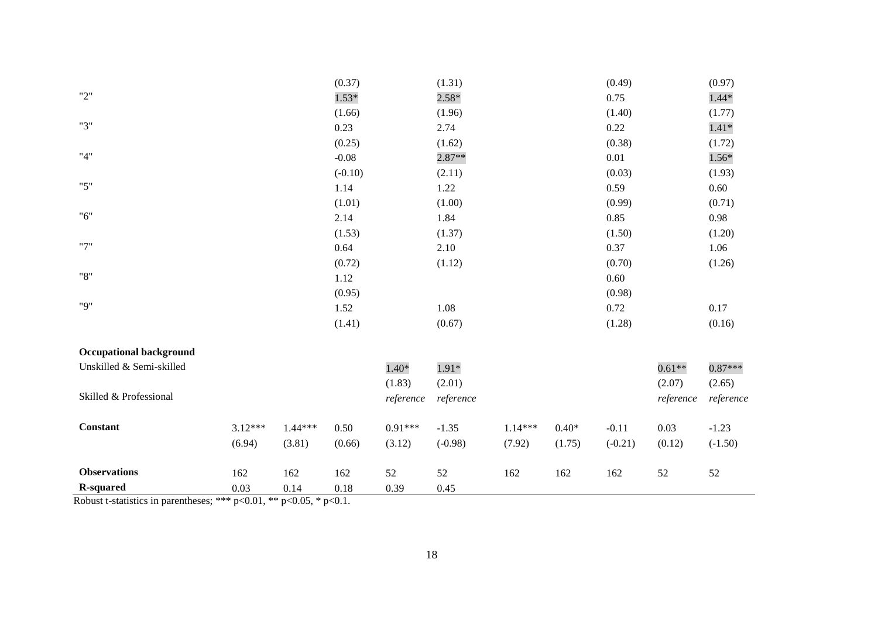|                                |           |           | (0.37)    |           | (1.31)    |           |         | (0.49)    |           | (0.97)    |
|--------------------------------|-----------|-----------|-----------|-----------|-----------|-----------|---------|-----------|-----------|-----------|
| "2"                            |           |           | $1.53*$   |           | $2.58*$   |           |         | 0.75      |           | $1.44*$   |
|                                |           |           | (1.66)    |           | (1.96)    |           |         | (1.40)    |           | (1.77)    |
| "3"                            |           |           | 0.23      |           | 2.74      |           |         | 0.22      |           | $1.41*$   |
|                                |           |           | (0.25)    |           | (1.62)    |           |         | (0.38)    |           | (1.72)    |
| "4"                            |           |           | $-0.08$   |           | $2.87**$  |           |         | 0.01      |           | $1.56*$   |
|                                |           |           | $(-0.10)$ |           | (2.11)    |           |         | (0.03)    |           | (1.93)    |
| "5"                            |           |           | 1.14      |           | 1.22      |           |         | 0.59      |           | 0.60      |
|                                |           |           | (1.01)    |           | (1.00)    |           |         | (0.99)    |           | (0.71)    |
| "6"                            |           |           | 2.14      |           | 1.84      |           |         | 0.85      |           | 0.98      |
|                                |           |           | (1.53)    |           | (1.37)    |           |         | (1.50)    |           | (1.20)    |
| "7"                            |           |           | 0.64      |           | 2.10      |           |         | 0.37      |           | 1.06      |
|                                |           |           | (0.72)    |           | (1.12)    |           |         | (0.70)    |           | (1.26)    |
| "8"                            |           |           | 1.12      |           |           |           |         | 0.60      |           |           |
|                                |           |           | (0.95)    |           |           |           |         | (0.98)    |           |           |
| "9"                            |           |           | 1.52      |           | 1.08      |           |         | 0.72      |           | 0.17      |
|                                |           |           | (1.41)    |           | (0.67)    |           |         | (1.28)    |           | (0.16)    |
| <b>Occupational background</b> |           |           |           |           |           |           |         |           |           |           |
| Unskilled & Semi-skilled       |           |           |           | $1.40*$   | $1.91*$   |           |         |           | $0.61**$  | $0.87***$ |
|                                |           |           |           | (1.83)    | (2.01)    |           |         |           | (2.07)    | (2.65)    |
| Skilled & Professional         |           |           |           | reference | reference |           |         |           | reference | reference |
| Constant                       | $3.12***$ | $1.44***$ | 0.50      | $0.91***$ | $-1.35$   | $1.14***$ | $0.40*$ | $-0.11$   | 0.03      | $-1.23$   |
|                                | (6.94)    | (3.81)    | (0.66)    | (3.12)    | $(-0.98)$ | (7.92)    | (1.75)  | $(-0.21)$ | (0.12)    | $(-1.50)$ |
|                                |           |           |           |           |           |           |         |           |           |           |
| <b>Observations</b>            | 162       | 162       | 162       | $52\,$    | $52\,$    | 162       | 162     | 162       | $52\,$    | $52\,$    |
| <b>R-squared</b>               | 0.03      | 0.14      | 0.18      | 0.39      | 0.45      |           |         |           |           |           |

Robust t-statistics in parentheses; \*\*\*  $p<0.01$ , \*\*  $p<0.05$ , \*  $p<0.1$ .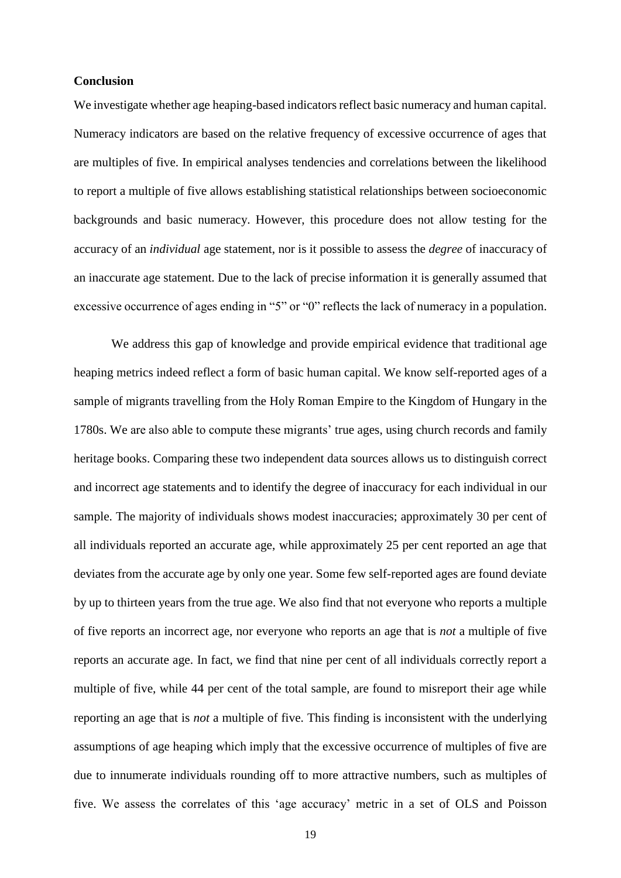## **Conclusion**

We investigate whether age heaping-based indicators reflect basic numeracy and human capital. Numeracy indicators are based on the relative frequency of excessive occurrence of ages that are multiples of five. In empirical analyses tendencies and correlations between the likelihood to report a multiple of five allows establishing statistical relationships between socioeconomic backgrounds and basic numeracy. However, this procedure does not allow testing for the accuracy of an *individual* age statement, nor is it possible to assess the *degree* of inaccuracy of an inaccurate age statement. Due to the lack of precise information it is generally assumed that excessive occurrence of ages ending in "5" or "0" reflects the lack of numeracy in a population.

We address this gap of knowledge and provide empirical evidence that traditional age heaping metrics indeed reflect a form of basic human capital. We know self-reported ages of a sample of migrants travelling from the Holy Roman Empire to the Kingdom of Hungary in the 1780s. We are also able to compute these migrants' true ages, using church records and family heritage books. Comparing these two independent data sources allows us to distinguish correct and incorrect age statements and to identify the degree of inaccuracy for each individual in our sample. The majority of individuals shows modest inaccuracies; approximately 30 per cent of all individuals reported an accurate age, while approximately 25 per cent reported an age that deviates from the accurate age by only one year. Some few self-reported ages are found deviate by up to thirteen years from the true age. We also find that not everyone who reports a multiple of five reports an incorrect age, nor everyone who reports an age that is *not* a multiple of five reports an accurate age. In fact, we find that nine per cent of all individuals correctly report a multiple of five, while 44 per cent of the total sample, are found to misreport their age while reporting an age that is *not* a multiple of five. This finding is inconsistent with the underlying assumptions of age heaping which imply that the excessive occurrence of multiples of five are due to innumerate individuals rounding off to more attractive numbers, such as multiples of five. We assess the correlates of this 'age accuracy' metric in a set of OLS and Poisson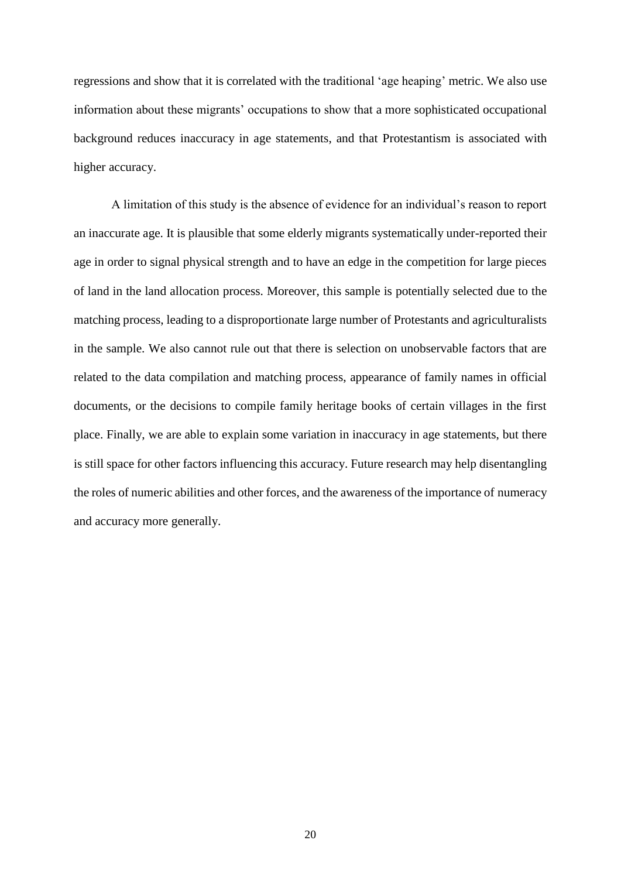regressions and show that it is correlated with the traditional 'age heaping' metric. We also use information about these migrants' occupations to show that a more sophisticated occupational background reduces inaccuracy in age statements, and that Protestantism is associated with higher accuracy.

A limitation of this study is the absence of evidence for an individual's reason to report an inaccurate age. It is plausible that some elderly migrants systematically under-reported their age in order to signal physical strength and to have an edge in the competition for large pieces of land in the land allocation process. Moreover, this sample is potentially selected due to the matching process, leading to a disproportionate large number of Protestants and agriculturalists in the sample. We also cannot rule out that there is selection on unobservable factors that are related to the data compilation and matching process, appearance of family names in official documents, or the decisions to compile family heritage books of certain villages in the first place. Finally, we are able to explain some variation in inaccuracy in age statements, but there is still space for other factors influencing this accuracy. Future research may help disentangling the roles of numeric abilities and other forces, and the awareness of the importance of numeracy and accuracy more generally.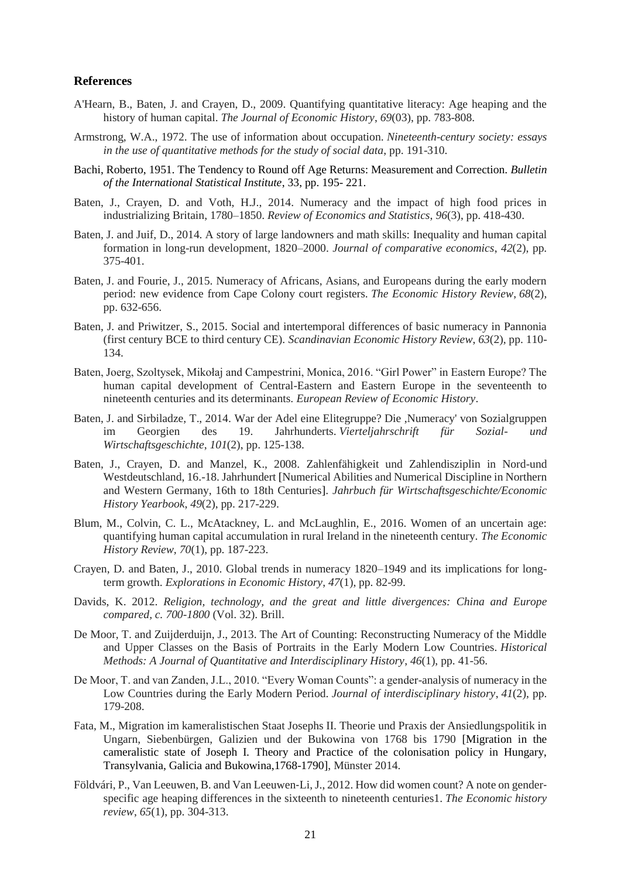#### **References**

- A'Hearn, B., Baten, J. and Crayen, D., 2009. Quantifying quantitative literacy: Age heaping and the history of human capital. *The Journal of Economic History*, *69*(03), pp. 783-808.
- Armstrong, W.A., 1972. The use of information about occupation. *Nineteenth-century society: essays in the use of quantitative methods for the study of social data*, pp. 191-310.
- Bachi, Roberto, 1951. The Tendency to Round off Age Returns: Measurement and Correction. *Bulletin of the International Statistical Institute*, 33, pp. 195- 221.
- Baten, J., Crayen, D. and Voth, H.J., 2014. Numeracy and the impact of high food prices in industrializing Britain, 1780–1850. *Review of Economics and Statistics*, *96*(3), pp. 418-430.
- Baten, J. and Juif, D., 2014. A story of large landowners and math skills: Inequality and human capital formation in long-run development, 1820–2000. *Journal of comparative economics*, *42*(2), pp. 375-401.
- Baten, J. and Fourie, J., 2015. Numeracy of Africans, Asians, and Europeans during the early modern period: new evidence from Cape Colony court registers. *The Economic History Review*, *68*(2), pp. 632-656.
- Baten, J. and Priwitzer, S., 2015. Social and intertemporal differences of basic numeracy in Pannonia (first century BCE to third century CE). *Scandinavian Economic History Review*, *63*(2), pp. 110- 134.
- Baten, Joerg, Szoltysek, Mikołaj and Campestrini, Monica, 2016. "Girl Power" in Eastern Europe? The human capital development of Central-Eastern and Eastern Europe in the seventeenth to nineteenth centuries and its determinants. *European Review of Economic History*.
- Baten, J. and Sirbiladze, T., 2014. War der Adel eine Elitegruppe? Die ,Numeracy' von Sozialgruppen im Georgien des 19. Jahrhunderts. *Vierteljahrschrift für Sozial- und Wirtschaftsgeschichte*, *101*(2), pp. 125-138.
- Baten, J., Crayen, D. and Manzel, K., 2008. Zahlenfähigkeit und Zahlendisziplin in Nord-und Westdeutschland, 16.-18. Jahrhundert [Numerical Abilities and Numerical Discipline in Northern and Western Germany, 16th to 18th Centuries]. *Jahrbuch für Wirtschaftsgeschichte/Economic History Yearbook*, *49*(2), pp. 217-229.
- Blum, M., Colvin, C. L., McAtackney, L. and McLaughlin, E., 2016. Women of an uncertain age: quantifying human capital accumulation in rural Ireland in the nineteenth century. *The Economic History Review, 70*(1), pp. 187-223.
- Crayen, D. and Baten, J., 2010. Global trends in numeracy 1820–1949 and its implications for longterm growth. *Explorations in Economic History*, *47*(1), pp. 82-99.
- Davids, K. 2012. *Religion, technology, and the great and little divergences: China and Europe compared, c. 700-1800* (Vol. 32). Brill.
- De Moor, T. and Zuijderduijn, J., 2013. The Art of Counting: Reconstructing Numeracy of the Middle and Upper Classes on the Basis of Portraits in the Early Modern Low Countries. *Historical Methods: A Journal of Quantitative and Interdisciplinary History*, *46*(1), pp. 41-56.
- De Moor, T. and van Zanden, J.L., 2010. "Every Woman Counts": a gender-analysis of numeracy in the Low Countries during the Early Modern Period. *Journal of interdisciplinary history*, *41*(2), pp. 179-208.
- Fata, M., Migration im kameralistischen Staat Josephs II. Theorie und Praxis der Ansiedlungspolitik in Ungarn, Siebenbürgen, Galizien und der Bukowina von 1768 bis 1790 [Migration in the cameralistic state of Joseph I. Theory and Practice of the colonisation policy in Hungary, Transylvania, Galicia and Bukowina,1768-1790], Münster 2014.
- Földvári, P., Van Leeuwen, B. and Van Leeuwen‐Li, J., 2012. How did women count? A note on gender‐ specific age heaping differences in the sixteenth to nineteenth centuries1. *The Economic history review*, *65*(1), pp. 304-313.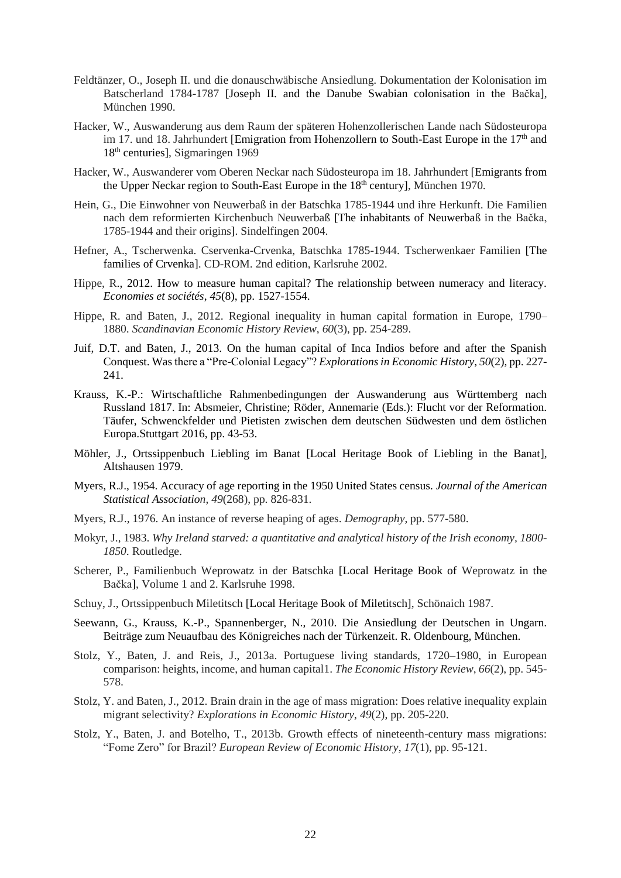- Feldtänzer, O., Joseph II. und die donauschwäbische Ansiedlung. Dokumentation der Kolonisation im Batscherland 1784-1787 [Joseph II. and the Danube Swabian colonisation in the Bačka], München 1990.
- Hacker, W., Auswanderung aus dem Raum der späteren Hohenzollerischen Lande nach Südosteuropa im 17. und 18. Jahrhundert [Emigration from Hohenzollern to South-East Europe in the  $17<sup>th</sup>$  and 18th centuries], Sigmaringen 1969
- Hacker, W., Auswanderer vom Oberen Neckar nach Südosteuropa im 18. Jahrhundert [Emigrants from the Upper Neckar region to South-East Europe in the 18<sup>th</sup> century], München 1970.
- Hein, G., Die Einwohner von Neuwerbaß in der Batschka 1785-1944 und ihre Herkunft. Die Familien nach dem reformierten Kirchenbuch Neuwerbaß [The inhabitants of Neuwerbaß in the Bačka, 1785-1944 and their origins]. Sindelfingen 2004.
- Hefner, A., Tscherwenka. Cservenka-Crvenka, Batschka 1785-1944. Tscherwenkaer Familien [The families of Crvenka]. CD-ROM. 2nd edition, Karlsruhe 2002.
- Hippe, R., 2012. How to measure human capital? The relationship between numeracy and literacy. *Economies et sociétés*, *45*(8), pp. 1527-1554.
- Hippe, R. and Baten, J., 2012. Regional inequality in human capital formation in Europe, 1790– 1880. *Scandinavian Economic History Review*, *60*(3), pp. 254-289.
- Juif, D.T. and Baten, J., 2013. On the human capital of Inca Indios before and after the Spanish Conquest. Wasthere a "Pre-Colonial Legacy"? *Explorations in Economic History*, *50*(2), pp. 227- 241.
- Krauss, K.-P.: Wirtschaftliche Rahmenbedingungen der Auswanderung aus Württemberg nach Russland 1817. In: Absmeier, Christine; Röder, Annemarie (Eds.): Flucht vor der Reformation. Täufer, Schwenckfelder und Pietisten zwischen dem deutschen Südwesten und dem östlichen Europa.Stuttgart 2016, pp. 43-53.
- Möhler, J., Ortssippenbuch Liebling im Banat [Local Heritage Book of Liebling in the Banat], Altshausen 1979.
- Myers, R.J., 1954. Accuracy of age reporting in the 1950 United States census. *Journal of the American Statistical Association*, *49*(268), pp. 826-831.
- Myers, R.J., 1976. An instance of reverse heaping of ages. *Demography*, pp. 577-580.
- Mokyr, J., 1983. *Why Ireland starved: a quantitative and analytical history of the Irish economy, 1800- 1850*. Routledge.
- Scherer, P., Familienbuch Weprowatz in der Batschka [Local Heritage Book of Weprowatz in the Bačka], Volume 1 and 2. Karlsruhe 1998.
- Schuy, J., Ortssippenbuch Miletitsch [Local Heritage Book of Miletitsch], Schönaich 1987.
- Seewann, G., Krauss, K.-P., Spannenberger, N., 2010. Die Ansiedlung der Deutschen in Ungarn. Beiträge zum Neuaufbau des Königreiches nach der Türkenzeit. R. Oldenbourg, München.
- Stolz, Y., Baten, J. and Reis, J., 2013a. Portuguese living standards, 1720–1980, in European comparison: heights, income, and human capital1. *The Economic History Review*, *66*(2), pp. 545- 578.
- Stolz, Y. and Baten, J., 2012. Brain drain in the age of mass migration: Does relative inequality explain migrant selectivity? *Explorations in Economic History*, *49*(2), pp. 205-220.
- Stolz, Y., Baten, J. and Botelho, T., 2013b. Growth effects of nineteenth-century mass migrations: "Fome Zero" for Brazil? *European Review of Economic History*, *17*(1), pp. 95-121.